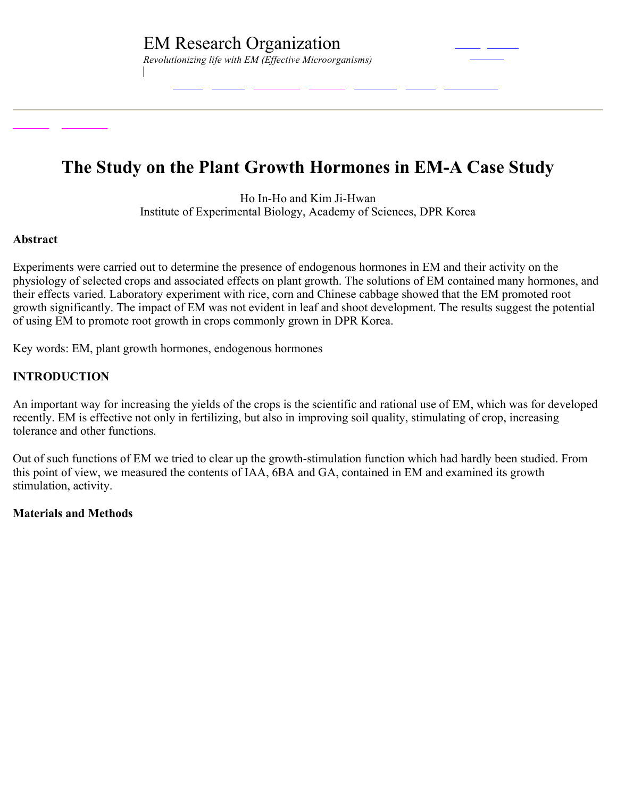# **The Study on the Plant Growth Hormones in EM-A Case Study**

Ho In-Ho and Kim Ji-Hwan Institute of Experimental Biology, Academy of Sciences, DPR Korea

#### **Abstract**

Experiments were carried out to determine the presence of endogenous hormones in EM and their activity on the physiology of selected crops and associated effects on plant growth. The solutions of EM contained many hormones, and their effects varied. Laboratory experiment with rice, corn and Chinese cabbage showed that the EM promoted root growth significantly. The impact of EM was not evident in leaf and shoot development. The results suggest the potential of using EM to promote root growth in crops commonly grown in DPR Korea.

Key words: EM, plant growth hormones, endogenous hormones

## **INTRODUCTION**

An important way for increasing the yields of the crops is the scientific and rational use of EM, which was for developed recently. EM is effective not only in fertilizing, but also in improving soil quality, stimulating of crop, increasing tolerance and other functions.

Out of such functions of EM we tried to clear up the growth-stimulation function which had hardly been studied. From this point of view, we measured the contents of IAA, 6BA and GA, contained in EM and examined its growth stimulation, activity.

#### **Materials and Methods**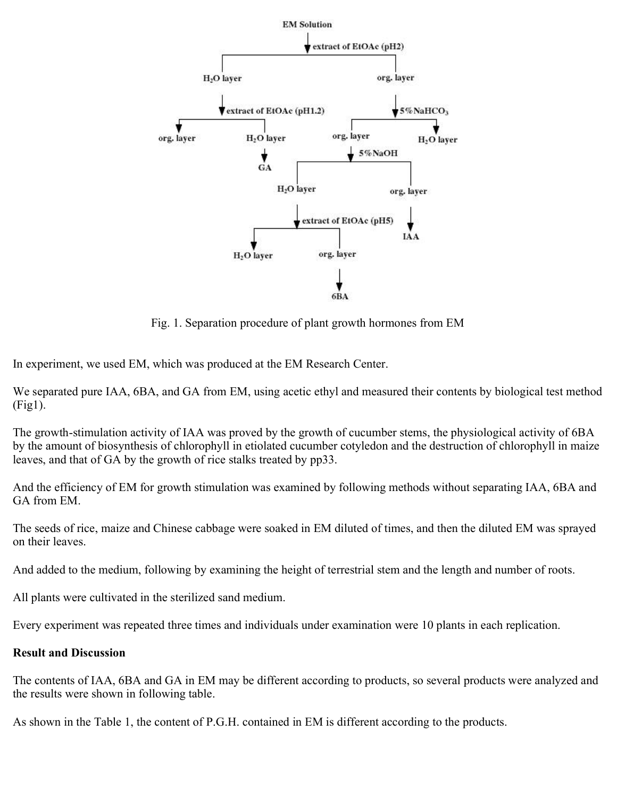

Fig. 1. Separation procedure of plant growth hormones from EM

In experiment, we used EM, which was produced at the EM Research Center.

We separated pure IAA, 6BA, and GA from EM, using acetic ethyl and measured their contents by biological test method (Fig1).

The growth-stimulation activity of IAA was proved by the growth of cucumber stems, the physiological activity of 6BA by the amount of biosynthesis of chlorophyll in etiolated cucumber cotyledon and the destruction of chlorophyll in maize leaves, and that of GA by the growth of rice stalks treated by pp33.

And the efficiency of EM for growth stimulation was examined by following methods without separating IAA, 6BA and GA from EM

The seeds of rice, maize and Chinese cabbage were soaked in EM diluted of times, and then the diluted EM was sprayed on their leaves.

And added to the medium, following by examining the height of terrestrial stem and the length and number of roots.

All plants were cultivated in the sterilized sand medium.

Every experiment was repeated three times and individuals under examination were 10 plants in each replication.

#### **Result and Discussion**

The contents of IAA, 6BA and GA in EM may be different according to products, so several products were analyzed and the results were shown in following table.

As shown in the Table 1, the content of P.G.H. contained in EM is different according to the products.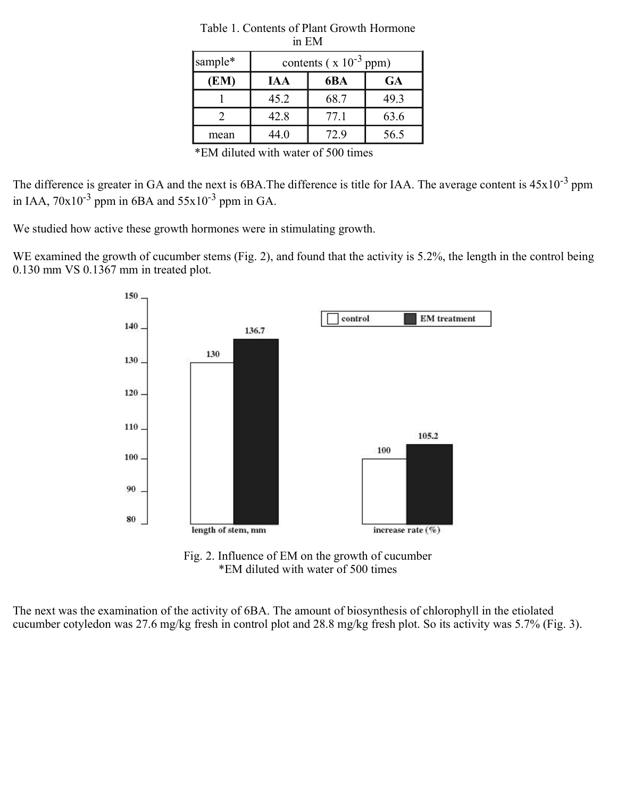| sample* | contents ( $x 10^{-3}$ ppm) |      |           |
|---------|-----------------------------|------|-----------|
| (EM)    | <b>IAA</b>                  | 6BA  | <b>GA</b> |
|         | 45.2                        | 68.7 | 49.3      |
|         | 42.8                        | 77.1 | 63.6      |
| mean    | 44.0                        | 72.9 | 56.5      |

| Table 1. Contents of Plant Growth Hormone |  |
|-------------------------------------------|--|
| in EM                                     |  |

\*EM diluted with water of 500 times

The difference is greater in GA and the next is  $6BA$ . The difference is title for IAA. The average content is  $45x10^{-3}$  ppm in IAA,  $70x10^{-3}$  ppm in 6BA and  $55x10^{-3}$  ppm in GA.

We studied how active these growth hormones were in stimulating growth.

WE examined the growth of cucumber stems (Fig. 2), and found that the activity is 5.2%, the length in the control being 0.130 mm VS 0.1367 mm in treated plot.



Fig. 2. Influence of EM on the growth of cucumber \*EM diluted with water of 500 times

The next was the examination of the activity of 6BA. The amount of biosynthesis of chlorophyll in the etiolated cucumber cotyledon was 27.6 mg/kg fresh in control plot and 28.8 mg/kg fresh plot. So its activity was 5.7% (Fig. 3).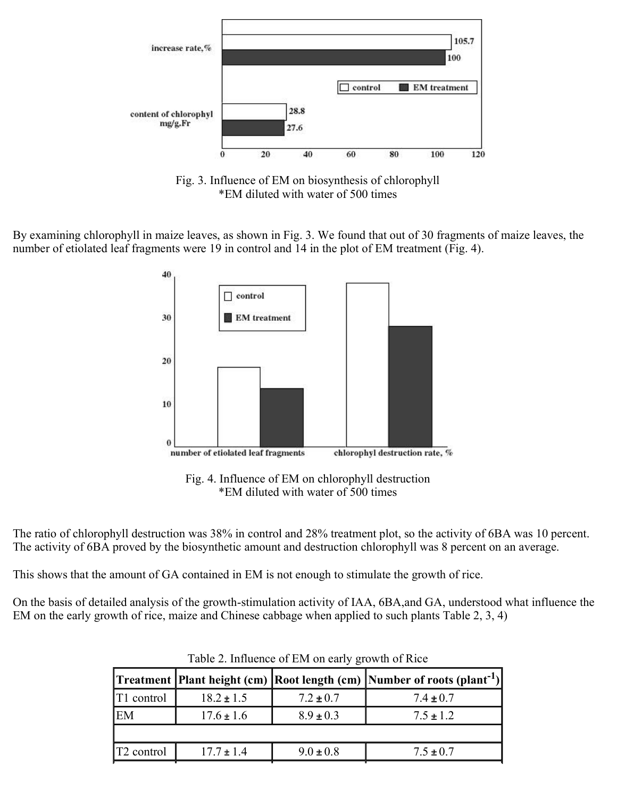

Fig. 3. Influence of EM on biosynthesis of chlorophyll \*EM diluted with water of 500 times

By examining chlorophyll in maize leaves, as shown in Fig. 3. We found that out of 30 fragments of maize leaves, the number of etiolated leaf fragments were 19 in control and 14 in the plot of EM treatment (Fig. 4).



Fig. 4. Influence of EM on chlorophyll destruction \*EM diluted with water of 500 times

The ratio of chlorophyll destruction was 38% in control and 28% treatment plot, so the activity of 6BA was 10 percent. The activity of 6BA proved by the biosynthetic amount and destruction chlorophyll was 8 percent on an average.

This shows that the amount of GA contained in EM is not enough to stimulate the growth of rice.

On the basis of detailed analysis of the growth-stimulation activity of IAA, 6BA,and GA, understood what influence the EM on the early growth of rice, maize and Chinese cabbage when applied to such plants Table 2, 3, 4)

|                        |                |               | Treatment  Plant height (cm)  Root length (cm)  Number of roots (plant <sup>-1</sup> ) |
|------------------------|----------------|---------------|----------------------------------------------------------------------------------------|
| T1 control             | $18.2 \pm 1.5$ | $7.2 \pm 0.7$ | $7.4 \pm 0.7$                                                                          |
| EM                     | $17.6 \pm 1.6$ | $8.9 \pm 0.3$ | $7.5 \pm 1.2$                                                                          |
|                        |                |               |                                                                                        |
| T <sub>2</sub> control | $17.7 \pm 1.4$ | $9.0 \pm 0.8$ | $7.5 \pm 0.7$                                                                          |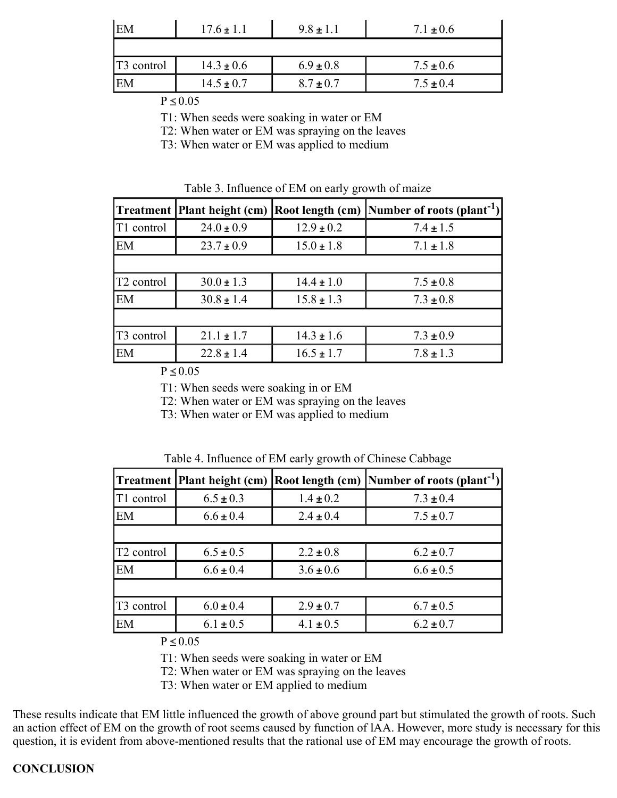| EM                 | $17.6 \pm 1.1$ | $9.8 \pm 1.1$ | $7.1 \pm 0.6$ |
|--------------------|----------------|---------------|---------------|
|                    |                |               |               |
| $\vert$ T3 control | $14.3 \pm 0.6$ | $6.9 \pm 0.8$ | $7.5 \pm 0.6$ |
| EM                 | $14.5 \pm 0.7$ | $8.7 \pm 0.7$ | $7.5 \pm 0.4$ |

 $P \leq 0.05$ 

T1: When seeds were soaking in water or EM

T2: When water or EM was spraying on the leaves

T3: When water or EM was applied to medium

|                        |                |                | Treatment  Plant height (cm)  Root length (cm)  Number of roots (plant <sup>-1</sup> ) |
|------------------------|----------------|----------------|----------------------------------------------------------------------------------------|
| T <sub>1</sub> control | $24.0 \pm 0.9$ | $12.9 \pm 0.2$ | $7.4 \pm 1.5$                                                                          |
| EM                     | $23.7 \pm 0.9$ | $15.0 \pm 1.8$ | $7.1 \pm 1.8$                                                                          |
|                        |                |                |                                                                                        |
| T <sub>2</sub> control | $30.0 \pm 1.3$ | $14.4 \pm 1.0$ | $7.5 \pm 0.8$                                                                          |
| EM                     | $30.8 \pm 1.4$ | $15.8 \pm 1.3$ | $7.3 \pm 0.8$                                                                          |
|                        |                |                |                                                                                        |
| T <sub>3</sub> control | $21.1 \pm 1.7$ | $14.3 \pm 1.6$ | $7.3 \pm 0.9$                                                                          |
| EM                     | $22.8 \pm 1.4$ | $16.5 \pm 1.7$ | $7.8 \pm 1.3$                                                                          |

 $P \leq 0.05$ 

T1: When seeds were soaking in or EM

T2: When water or EM was spraying on the leaves

T3: When water or EM was applied to medium

|                        |               |               | Treatment  Plant height (cm)  Root length (cm)  Number of roots (plant <sup>-1</sup> ) |
|------------------------|---------------|---------------|----------------------------------------------------------------------------------------|
| T1 control             | $6.5 \pm 0.3$ | $1.4 \pm 0.2$ | $7.3 \pm 0.4$                                                                          |
| EM                     | $6.6 \pm 0.4$ | $2.4 \pm 0.4$ | $7.5 \pm 0.7$                                                                          |
|                        |               |               |                                                                                        |
| T <sub>2</sub> control | $6.5 \pm 0.5$ | $2.2 \pm 0.8$ | $6.2 \pm 0.7$                                                                          |
| EM                     | $6.6 \pm 0.4$ | $3.6 \pm 0.6$ | $6.6 \pm 0.5$                                                                          |
|                        |               |               |                                                                                        |
| T <sub>3</sub> control | $6.0 \pm 0.4$ | $2.9 \pm 0.7$ | $6.7 \pm 0.5$                                                                          |
| EM                     | $6.1 \pm 0.5$ | $4.1 \pm 0.5$ | $6.2 \pm 0.7$                                                                          |

Table 4. Influence of EM early growth of Chinese Cabbage

 $P \leq 0.05$ 

T1: When seeds were soaking in water or EM

T2: When water or EM was spraying on the leaves

T3: When water or EM applied to medium

These results indicate that EM little influenced the growth of above ground part but stimulated the growth of roots. Such an action effect of EM on the growth of root seems caused by function of lAA. However, more study is necessary for this question, it is evident from above-mentioned results that the rational use of EM may encourage the growth of roots.

## **CONCLUSION**